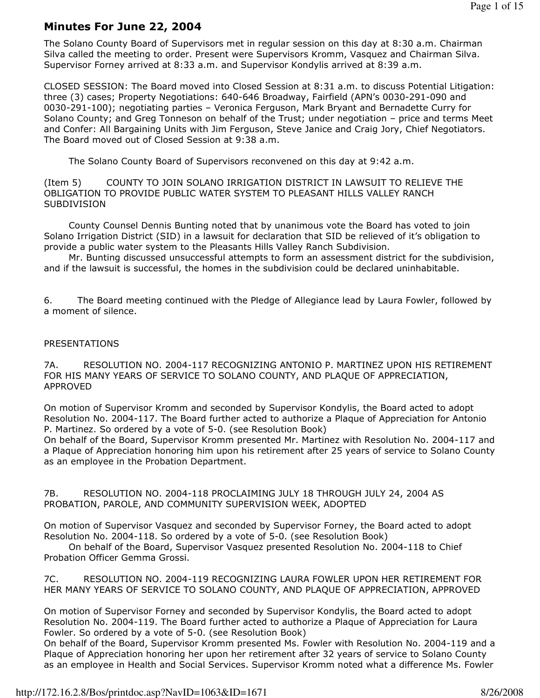# Minutes For June 22, 2004

The Solano County Board of Supervisors met in regular session on this day at 8:30 a.m. Chairman Silva called the meeting to order. Present were Supervisors Kromm, Vasquez and Chairman Silva. Supervisor Forney arrived at 8:33 a.m. and Supervisor Kondylis arrived at 8:39 a.m.

CLOSED SESSION: The Board moved into Closed Session at 8:31 a.m. to discuss Potential Litigation: three (3) cases; Property Negotiations: 640-646 Broadway, Fairfield (APN's 0030-291-090 and 0030-291-100); negotiating parties – Veronica Ferguson, Mark Bryant and Bernadette Curry for Solano County; and Greg Tonneson on behalf of the Trust; under negotiation – price and terms Meet and Confer: All Bargaining Units with Jim Ferguson, Steve Janice and Craig Jory, Chief Negotiators. The Board moved out of Closed Session at 9:38 a.m.

The Solano County Board of Supervisors reconvened on this day at 9:42 a.m.

(Item 5) COUNTY TO JOIN SOLANO IRRIGATION DISTRICT IN LAWSUIT TO RELIEVE THE OBLIGATION TO PROVIDE PUBLIC WATER SYSTEM TO PLEASANT HILLS VALLEY RANCH SUBDIVISION

 County Counsel Dennis Bunting noted that by unanimous vote the Board has voted to join Solano Irrigation District (SID) in a lawsuit for declaration that SID be relieved of it's obligation to provide a public water system to the Pleasants Hills Valley Ranch Subdivision.

 Mr. Bunting discussed unsuccessful attempts to form an assessment district for the subdivision, and if the lawsuit is successful, the homes in the subdivision could be declared uninhabitable.

6. The Board meeting continued with the Pledge of Allegiance lead by Laura Fowler, followed by a moment of silence.

### PRESENTATIONS

7A. RESOLUTION NO. 2004-117 RECOGNIZING ANTONIO P. MARTINEZ UPON HIS RETIREMENT FOR HIS MANY YEARS OF SERVICE TO SOLANO COUNTY, AND PLAQUE OF APPRECIATION, APPROVED

On motion of Supervisor Kromm and seconded by Supervisor Kondylis, the Board acted to adopt Resolution No. 2004-117. The Board further acted to authorize a Plaque of Appreciation for Antonio P. Martinez. So ordered by a vote of 5-0. (see Resolution Book)

On behalf of the Board, Supervisor Kromm presented Mr. Martinez with Resolution No. 2004-117 and a Plaque of Appreciation honoring him upon his retirement after 25 years of service to Solano County as an employee in the Probation Department.

7B. RESOLUTION NO. 2004-118 PROCLAIMING JULY 18 THROUGH JULY 24, 2004 AS PROBATION, PAROLE, AND COMMUNITY SUPERVISION WEEK, ADOPTED

On motion of Supervisor Vasquez and seconded by Supervisor Forney, the Board acted to adopt Resolution No. 2004-118. So ordered by a vote of 5-0. (see Resolution Book)

 On behalf of the Board, Supervisor Vasquez presented Resolution No. 2004-118 to Chief Probation Officer Gemma Grossi.

7C. RESOLUTION NO. 2004-119 RECOGNIZING LAURA FOWLER UPON HER RETIREMENT FOR HER MANY YEARS OF SERVICE TO SOLANO COUNTY, AND PLAQUE OF APPRECIATION, APPROVED

On motion of Supervisor Forney and seconded by Supervisor Kondylis, the Board acted to adopt Resolution No. 2004-119. The Board further acted to authorize a Plaque of Appreciation for Laura Fowler. So ordered by a vote of 5-0. (see Resolution Book)

On behalf of the Board, Supervisor Kromm presented Ms. Fowler with Resolution No. 2004-119 and a Plaque of Appreciation honoring her upon her retirement after 32 years of service to Solano County as an employee in Health and Social Services. Supervisor Kromm noted what a difference Ms. Fowler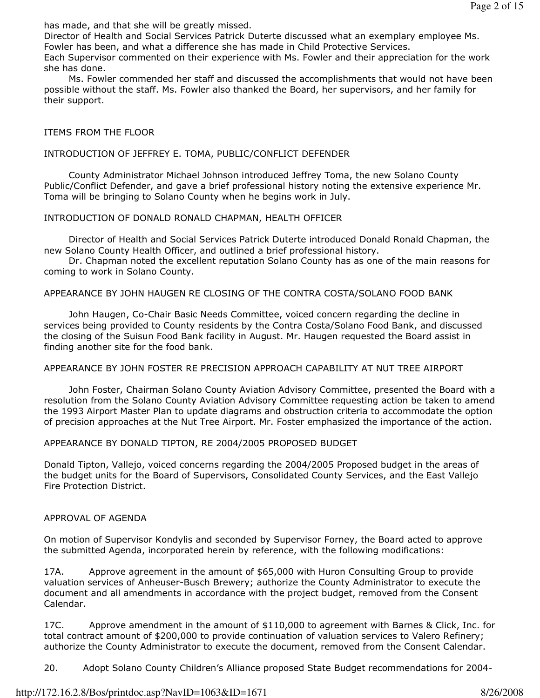has made, and that she will be greatly missed.

Director of Health and Social Services Patrick Duterte discussed what an exemplary employee Ms. Fowler has been, and what a difference she has made in Child Protective Services.

Each Supervisor commented on their experience with Ms. Fowler and their appreciation for the work she has done.

 Ms. Fowler commended her staff and discussed the accomplishments that would not have been possible without the staff. Ms. Fowler also thanked the Board, her supervisors, and her family for their support.

### ITEMS FROM THE FLOOR

#### INTRODUCTION OF JEFFREY E. TOMA, PUBLIC/CONFLICT DEFENDER

 County Administrator Michael Johnson introduced Jeffrey Toma, the new Solano County Public/Conflict Defender, and gave a brief professional history noting the extensive experience Mr. Toma will be bringing to Solano County when he begins work in July.

### INTRODUCTION OF DONALD RONALD CHAPMAN, HEALTH OFFICER

 Director of Health and Social Services Patrick Duterte introduced Donald Ronald Chapman, the new Solano County Health Officer, and outlined a brief professional history.

 Dr. Chapman noted the excellent reputation Solano County has as one of the main reasons for coming to work in Solano County.

APPEARANCE BY JOHN HAUGEN RE CLOSING OF THE CONTRA COSTA/SOLANO FOOD BANK

 John Haugen, Co-Chair Basic Needs Committee, voiced concern regarding the decline in services being provided to County residents by the Contra Costa/Solano Food Bank, and discussed the closing of the Suisun Food Bank facility in August. Mr. Haugen requested the Board assist in finding another site for the food bank.

#### APPEARANCE BY JOHN FOSTER RE PRECISION APPROACH CAPABILITY AT NUT TREE AIRPORT

 John Foster, Chairman Solano County Aviation Advisory Committee, presented the Board with a resolution from the Solano County Aviation Advisory Committee requesting action be taken to amend the 1993 Airport Master Plan to update diagrams and obstruction criteria to accommodate the option of precision approaches at the Nut Tree Airport. Mr. Foster emphasized the importance of the action.

#### APPEARANCE BY DONALD TIPTON, RE 2004/2005 PROPOSED BUDGET

Donald Tipton, Vallejo, voiced concerns regarding the 2004/2005 Proposed budget in the areas of the budget units for the Board of Supervisors, Consolidated County Services, and the East Vallejo Fire Protection District.

#### APPROVAL OF AGENDA

On motion of Supervisor Kondylis and seconded by Supervisor Forney, the Board acted to approve the submitted Agenda, incorporated herein by reference, with the following modifications:

17A. Approve agreement in the amount of \$65,000 with Huron Consulting Group to provide valuation services of Anheuser-Busch Brewery; authorize the County Administrator to execute the document and all amendments in accordance with the project budget, removed from the Consent Calendar.

17C. Approve amendment in the amount of \$110,000 to agreement with Barnes & Click, Inc. for total contract amount of \$200,000 to provide continuation of valuation services to Valero Refinery; authorize the County Administrator to execute the document, removed from the Consent Calendar.

20. Adopt Solano County Children's Alliance proposed State Budget recommendations for 2004-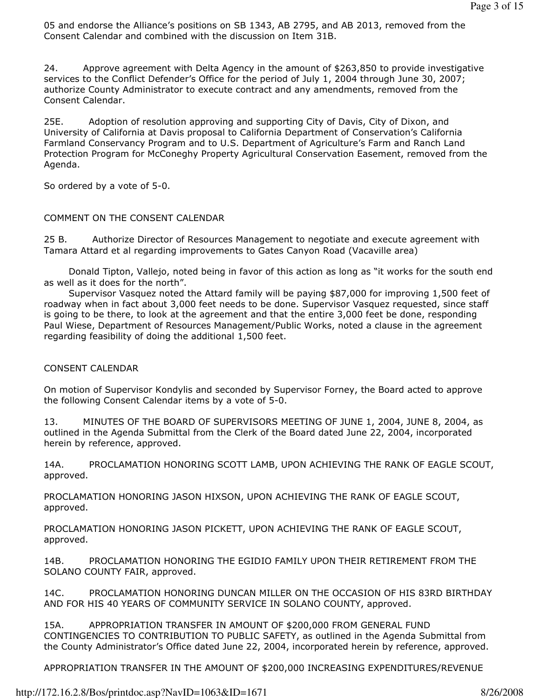05 and endorse the Alliance's positions on SB 1343, AB 2795, and AB 2013, removed from the Consent Calendar and combined with the discussion on Item 31B.

24. Approve agreement with Delta Agency in the amount of \$263,850 to provide investigative services to the Conflict Defender's Office for the period of July 1, 2004 through June 30, 2007; authorize County Administrator to execute contract and any amendments, removed from the Consent Calendar.

25E. Adoption of resolution approving and supporting City of Davis, City of Dixon, and University of California at Davis proposal to California Department of Conservation's California Farmland Conservancy Program and to U.S. Department of Agriculture's Farm and Ranch Land Protection Program for McConeghy Property Agricultural Conservation Easement, removed from the Agenda.

So ordered by a vote of 5-0.

# COMMENT ON THE CONSENT CALENDAR

25 B. Authorize Director of Resources Management to negotiate and execute agreement with Tamara Attard et al regarding improvements to Gates Canyon Road (Vacaville area)

 Donald Tipton, Vallejo, noted being in favor of this action as long as "it works for the south end as well as it does for the north".

 Supervisor Vasquez noted the Attard family will be paying \$87,000 for improving 1,500 feet of roadway when in fact about 3,000 feet needs to be done. Supervisor Vasquez requested, since staff is going to be there, to look at the agreement and that the entire 3,000 feet be done, responding Paul Wiese, Department of Resources Management/Public Works, noted a clause in the agreement regarding feasibility of doing the additional 1,500 feet.

# CONSENT CALENDAR

On motion of Supervisor Kondylis and seconded by Supervisor Forney, the Board acted to approve the following Consent Calendar items by a vote of 5-0.

13. MINUTES OF THE BOARD OF SUPERVISORS MEETING OF JUNE 1, 2004, JUNE 8, 2004, as outlined in the Agenda Submittal from the Clerk of the Board dated June 22, 2004, incorporated herein by reference, approved.

14A. PROCLAMATION HONORING SCOTT LAMB, UPON ACHIEVING THE RANK OF EAGLE SCOUT, approved.

PROCLAMATION HONORING JASON HIXSON, UPON ACHIEVING THE RANK OF EAGLE SCOUT, approved.

PROCLAMATION HONORING JASON PICKETT, UPON ACHIEVING THE RANK OF EAGLE SCOUT, approved.

14B. PROCLAMATION HONORING THE EGIDIO FAMILY UPON THEIR RETIREMENT FROM THE SOLANO COUNTY FAIR, approved.

14C. PROCLAMATION HONORING DUNCAN MILLER ON THE OCCASION OF HIS 83RD BIRTHDAY AND FOR HIS 40 YEARS OF COMMUNITY SERVICE IN SOLANO COUNTY, approved.

15A. APPROPRIATION TRANSFER IN AMOUNT OF \$200,000 FROM GENERAL FUND CONTINGENCIES TO CONTRIBUTION TO PUBLIC SAFETY, as outlined in the Agenda Submittal from the County Administrator's Office dated June 22, 2004, incorporated herein by reference, approved.

APPROPRIATION TRANSFER IN THE AMOUNT OF \$200,000 INCREASING EXPENDITURES/REVENUE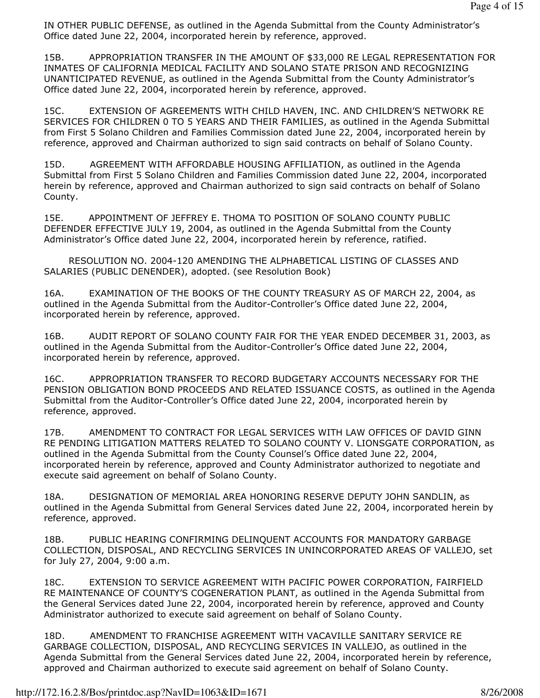IN OTHER PUBLIC DEFENSE, as outlined in the Agenda Submittal from the County Administrator's Office dated June 22, 2004, incorporated herein by reference, approved.

15B. APPROPRIATION TRANSFER IN THE AMOUNT OF \$33,000 RE LEGAL REPRESENTATION FOR INMATES OF CALIFORNIA MEDICAL FACILITY AND SOLANO STATE PRISON AND RECOGNIZING UNANTICIPATED REVENUE, as outlined in the Agenda Submittal from the County Administrator's Office dated June 22, 2004, incorporated herein by reference, approved.

15C. EXTENSION OF AGREEMENTS WITH CHILD HAVEN, INC. AND CHILDREN'S NETWORK RE SERVICES FOR CHILDREN 0 TO 5 YEARS AND THEIR FAMILIES, as outlined in the Agenda Submittal from First 5 Solano Children and Families Commission dated June 22, 2004, incorporated herein by reference, approved and Chairman authorized to sign said contracts on behalf of Solano County.

15D. AGREEMENT WITH AFFORDABLE HOUSING AFFILIATION, as outlined in the Agenda Submittal from First 5 Solano Children and Families Commission dated June 22, 2004, incorporated herein by reference, approved and Chairman authorized to sign said contracts on behalf of Solano County.

15E. APPOINTMENT OF JEFFREY E. THOMA TO POSITION OF SOLANO COUNTY PUBLIC DEFENDER EFFECTIVE JULY 19, 2004, as outlined in the Agenda Submittal from the County Administrator's Office dated June 22, 2004, incorporated herein by reference, ratified.

 RESOLUTION NO. 2004-120 AMENDING THE ALPHABETICAL LISTING OF CLASSES AND SALARIES (PUBLIC DENENDER), adopted. (see Resolution Book)

16A. EXAMINATION OF THE BOOKS OF THE COUNTY TREASURY AS OF MARCH 22, 2004, as outlined in the Agenda Submittal from the Auditor-Controller's Office dated June 22, 2004, incorporated herein by reference, approved.

16B. AUDIT REPORT OF SOLANO COUNTY FAIR FOR THE YEAR ENDED DECEMBER 31, 2003, as outlined in the Agenda Submittal from the Auditor-Controller's Office dated June 22, 2004, incorporated herein by reference, approved.

16C. APPROPRIATION TRANSFER TO RECORD BUDGETARY ACCOUNTS NECESSARY FOR THE PENSION OBLIGATION BOND PROCEEDS AND RELATED ISSUANCE COSTS, as outlined in the Agenda Submittal from the Auditor-Controller's Office dated June 22, 2004, incorporated herein by reference, approved.

17B. AMENDMENT TO CONTRACT FOR LEGAL SERVICES WITH LAW OFFICES OF DAVID GINN RE PENDING LITIGATION MATTERS RELATED TO SOLANO COUNTY V. LIONSGATE CORPORATION, as outlined in the Agenda Submittal from the County Counsel's Office dated June 22, 2004, incorporated herein by reference, approved and County Administrator authorized to negotiate and execute said agreement on behalf of Solano County.

18A. DESIGNATION OF MEMORIAL AREA HONORING RESERVE DEPUTY JOHN SANDLIN, as outlined in the Agenda Submittal from General Services dated June 22, 2004, incorporated herein by reference, approved.

18B. PUBLIC HEARING CONFIRMING DELINQUENT ACCOUNTS FOR MANDATORY GARBAGE COLLECTION, DISPOSAL, AND RECYCLING SERVICES IN UNINCORPORATED AREAS OF VALLEJO, set for July 27, 2004, 9:00 a.m.

18C. EXTENSION TO SERVICE AGREEMENT WITH PACIFIC POWER CORPORATION, FAIRFIELD RE MAINTENANCE OF COUNTY'S COGENERATION PLANT, as outlined in the Agenda Submittal from the General Services dated June 22, 2004, incorporated herein by reference, approved and County Administrator authorized to execute said agreement on behalf of Solano County.

18D. AMENDMENT TO FRANCHISE AGREEMENT WITH VACAVILLE SANITARY SERVICE RE GARBAGE COLLECTION, DISPOSAL, AND RECYCLING SERVICES IN VALLEJO, as outlined in the Agenda Submittal from the General Services dated June 22, 2004, incorporated herein by reference, approved and Chairman authorized to execute said agreement on behalf of Solano County.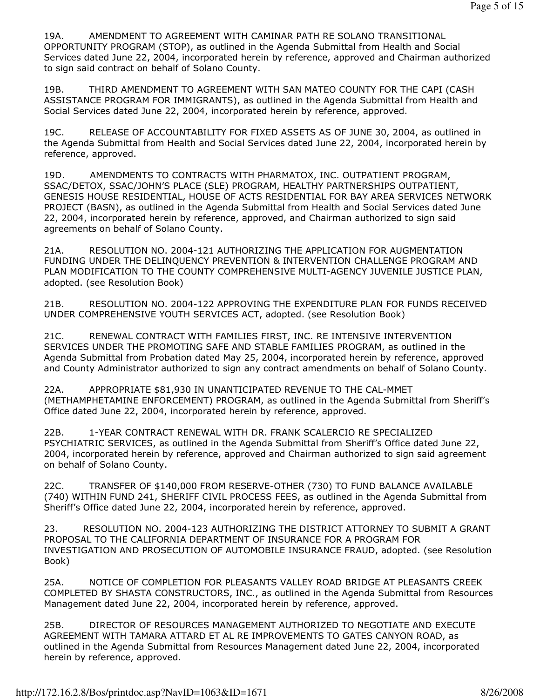19A. AMENDMENT TO AGREEMENT WITH CAMINAR PATH RE SOLANO TRANSITIONAL OPPORTUNITY PROGRAM (STOP), as outlined in the Agenda Submittal from Health and Social Services dated June 22, 2004, incorporated herein by reference, approved and Chairman authorized to sign said contract on behalf of Solano County.

19B. THIRD AMENDMENT TO AGREEMENT WITH SAN MATEO COUNTY FOR THE CAPI (CASH ASSISTANCE PROGRAM FOR IMMIGRANTS), as outlined in the Agenda Submittal from Health and Social Services dated June 22, 2004, incorporated herein by reference, approved.

19C. RELEASE OF ACCOUNTABILITY FOR FIXED ASSETS AS OF JUNE 30, 2004, as outlined in the Agenda Submittal from Health and Social Services dated June 22, 2004, incorporated herein by reference, approved.

19D. AMENDMENTS TO CONTRACTS WITH PHARMATOX, INC. OUTPATIENT PROGRAM, SSAC/DETOX, SSAC/JOHN'S PLACE (SLE) PROGRAM, HEALTHY PARTNERSHIPS OUTPATIENT, GENESIS HOUSE RESIDENTIAL, HOUSE OF ACTS RESIDENTIAL FOR BAY AREA SERVICES NETWORK PROJECT (BASN), as outlined in the Agenda Submittal from Health and Social Services dated June 22, 2004, incorporated herein by reference, approved, and Chairman authorized to sign said agreements on behalf of Solano County.

21A. RESOLUTION NO. 2004-121 AUTHORIZING THE APPLICATION FOR AUGMENTATION FUNDING UNDER THE DELINQUENCY PREVENTION & INTERVENTION CHALLENGE PROGRAM AND PLAN MODIFICATION TO THE COUNTY COMPREHENSIVE MULTI-AGENCY JUVENILE JUSTICE PLAN, adopted. (see Resolution Book)

21B. RESOLUTION NO. 2004-122 APPROVING THE EXPENDITURE PLAN FOR FUNDS RECEIVED UNDER COMPREHENSIVE YOUTH SERVICES ACT, adopted. (see Resolution Book)

21C. RENEWAL CONTRACT WITH FAMILIES FIRST, INC. RE INTENSIVE INTERVENTION SERVICES UNDER THE PROMOTING SAFE AND STABLE FAMILIES PROGRAM, as outlined in the Agenda Submittal from Probation dated May 25, 2004, incorporated herein by reference, approved and County Administrator authorized to sign any contract amendments on behalf of Solano County.

22A. APPROPRIATE \$81,930 IN UNANTICIPATED REVENUE TO THE CAL-MMET (METHAMPHETAMINE ENFORCEMENT) PROGRAM, as outlined in the Agenda Submittal from Sheriff's Office dated June 22, 2004, incorporated herein by reference, approved.

22B. 1-YEAR CONTRACT RENEWAL WITH DR. FRANK SCALERCIO RE SPECIALIZED PSYCHIATRIC SERVICES, as outlined in the Agenda Submittal from Sheriff's Office dated June 22, 2004, incorporated herein by reference, approved and Chairman authorized to sign said agreement on behalf of Solano County.

22C. TRANSFER OF \$140,000 FROM RESERVE-OTHER (730) TO FUND BALANCE AVAILABLE (740) WITHIN FUND 241, SHERIFF CIVIL PROCESS FEES, as outlined in the Agenda Submittal from Sheriff's Office dated June 22, 2004, incorporated herein by reference, approved.

23. RESOLUTION NO. 2004-123 AUTHORIZING THE DISTRICT ATTORNEY TO SUBMIT A GRANT PROPOSAL TO THE CALIFORNIA DEPARTMENT OF INSURANCE FOR A PROGRAM FOR INVESTIGATION AND PROSECUTION OF AUTOMOBILE INSURANCE FRAUD, adopted. (see Resolution Book)

25A. NOTICE OF COMPLETION FOR PLEASANTS VALLEY ROAD BRIDGE AT PLEASANTS CREEK COMPLETED BY SHASTA CONSTRUCTORS, INC., as outlined in the Agenda Submittal from Resources Management dated June 22, 2004, incorporated herein by reference, approved.

25B. DIRECTOR OF RESOURCES MANAGEMENT AUTHORIZED TO NEGOTIATE AND EXECUTE AGREEMENT WITH TAMARA ATTARD ET AL RE IMPROVEMENTS TO GATES CANYON ROAD, as outlined in the Agenda Submittal from Resources Management dated June 22, 2004, incorporated herein by reference, approved.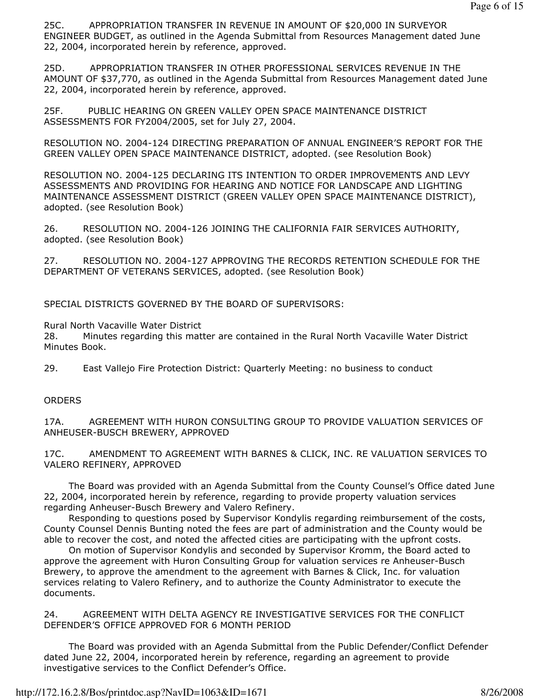25C. APPROPRIATION TRANSFER IN REVENUE IN AMOUNT OF \$20,000 IN SURVEYOR ENGINEER BUDGET, as outlined in the Agenda Submittal from Resources Management dated June 22, 2004, incorporated herein by reference, approved.

25D. APPROPRIATION TRANSFER IN OTHER PROFESSIONAL SERVICES REVENUE IN THE AMOUNT OF \$37,770, as outlined in the Agenda Submittal from Resources Management dated June 22, 2004, incorporated herein by reference, approved.

25F. PUBLIC HEARING ON GREEN VALLEY OPEN SPACE MAINTENANCE DISTRICT ASSESSMENTS FOR FY2004/2005, set for July 27, 2004.

RESOLUTION NO. 2004-124 DIRECTING PREPARATION OF ANNUAL ENGINEER'S REPORT FOR THE GREEN VALLEY OPEN SPACE MAINTENANCE DISTRICT, adopted. (see Resolution Book)

RESOLUTION NO. 2004-125 DECLARING ITS INTENTION TO ORDER IMPROVEMENTS AND LEVY ASSESSMENTS AND PROVIDING FOR HEARING AND NOTICE FOR LANDSCAPE AND LIGHTING MAINTENANCE ASSESSMENT DISTRICT (GREEN VALLEY OPEN SPACE MAINTENANCE DISTRICT), adopted. (see Resolution Book)

26. RESOLUTION NO. 2004-126 JOINING THE CALIFORNIA FAIR SERVICES AUTHORITY, adopted. (see Resolution Book)

27. RESOLUTION NO. 2004-127 APPROVING THE RECORDS RETENTION SCHEDULE FOR THE DEPARTMENT OF VETERANS SERVICES, adopted. (see Resolution Book)

SPECIAL DISTRICTS GOVERNED BY THE BOARD OF SUPERVISORS:

Rural North Vacaville Water District

28. Minutes regarding this matter are contained in the Rural North Vacaville Water District Minutes Book.

29. East Vallejo Fire Protection District: Quarterly Meeting: no business to conduct

## **ORDERS**

17A. AGREEMENT WITH HURON CONSULTING GROUP TO PROVIDE VALUATION SERVICES OF ANHEUSER-BUSCH BREWERY, APPROVED

17C. AMENDMENT TO AGREEMENT WITH BARNES & CLICK, INC. RE VALUATION SERVICES TO VALERO REFINERY, APPROVED

 The Board was provided with an Agenda Submittal from the County Counsel's Office dated June 22, 2004, incorporated herein by reference, regarding to provide property valuation services regarding Anheuser-Busch Brewery and Valero Refinery.

 Responding to questions posed by Supervisor Kondylis regarding reimbursement of the costs, County Counsel Dennis Bunting noted the fees are part of administration and the County would be able to recover the cost, and noted the affected cities are participating with the upfront costs.

 On motion of Supervisor Kondylis and seconded by Supervisor Kromm, the Board acted to approve the agreement with Huron Consulting Group for valuation services re Anheuser-Busch Brewery, to approve the amendment to the agreement with Barnes & Click, Inc. for valuation services relating to Valero Refinery, and to authorize the County Administrator to execute the documents.

24. AGREEMENT WITH DELTA AGENCY RE INVESTIGATIVE SERVICES FOR THE CONFLICT DEFENDER'S OFFICE APPROVED FOR 6 MONTH PERIOD

 The Board was provided with an Agenda Submittal from the Public Defender/Conflict Defender dated June 22, 2004, incorporated herein by reference, regarding an agreement to provide investigative services to the Conflict Defender's Office.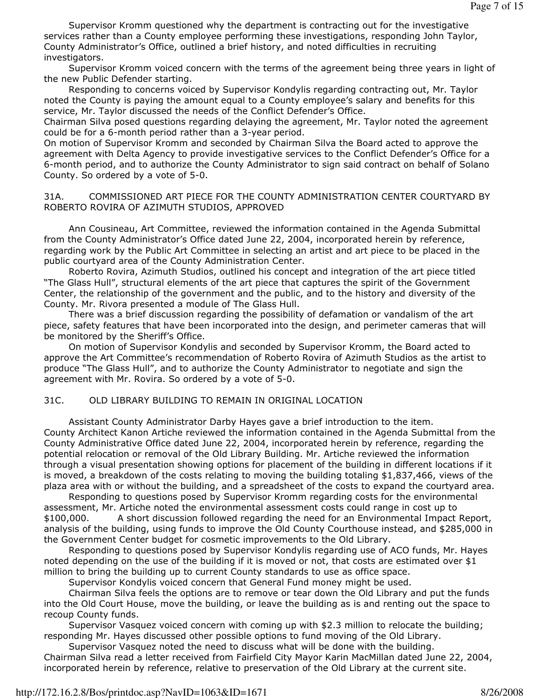Supervisor Kromm questioned why the department is contracting out for the investigative services rather than a County employee performing these investigations, responding John Taylor, County Administrator's Office, outlined a brief history, and noted difficulties in recruiting investigators.

 Supervisor Kromm voiced concern with the terms of the agreement being three years in light of the new Public Defender starting.

 Responding to concerns voiced by Supervisor Kondylis regarding contracting out, Mr. Taylor noted the County is paying the amount equal to a County employee's salary and benefits for this service, Mr. Taylor discussed the needs of the Conflict Defender's Office.

Chairman Silva posed questions regarding delaying the agreement, Mr. Taylor noted the agreement could be for a 6-month period rather than a 3-year period.

On motion of Supervisor Kromm and seconded by Chairman Silva the Board acted to approve the agreement with Delta Agency to provide investigative services to the Conflict Defender's Office for a 6-month period, and to authorize the County Administrator to sign said contract on behalf of Solano County. So ordered by a vote of 5-0.

## 31A. COMMISSIONED ART PIECE FOR THE COUNTY ADMINISTRATION CENTER COURTYARD BY ROBERTO ROVIRA OF AZIMUTH STUDIOS, APPROVED

 Ann Cousineau, Art Committee, reviewed the information contained in the Agenda Submittal from the County Administrator's Office dated June 22, 2004, incorporated herein by reference, regarding work by the Public Art Committee in selecting an artist and art piece to be placed in the public courtyard area of the County Administration Center.

 Roberto Rovira, Azimuth Studios, outlined his concept and integration of the art piece titled "The Glass Hull", structural elements of the art piece that captures the spirit of the Government Center, the relationship of the government and the public, and to the history and diversity of the County. Mr. Rivora presented a module of The Glass Hull.

 There was a brief discussion regarding the possibility of defamation or vandalism of the art piece, safety features that have been incorporated into the design, and perimeter cameras that will be monitored by the Sheriff's Office.

 On motion of Supervisor Kondylis and seconded by Supervisor Kromm, the Board acted to approve the Art Committee's recommendation of Roberto Rovira of Azimuth Studios as the artist to produce "The Glass Hull", and to authorize the County Administrator to negotiate and sign the agreement with Mr. Rovira. So ordered by a vote of 5-0.

# 31C. OLD LIBRARY BUILDING TO REMAIN IN ORIGINAL LOCATION

 Assistant County Administrator Darby Hayes gave a brief introduction to the item. County Architect Kanon Artiche reviewed the information contained in the Agenda Submittal from the County Administrative Office dated June 22, 2004, incorporated herein by reference, regarding the potential relocation or removal of the Old Library Building. Mr. Artiche reviewed the information through a visual presentation showing options for placement of the building in different locations if it is moved, a breakdown of the costs relating to moving the building totaling \$1,837,466, views of the plaza area with or without the building, and a spreadsheet of the costs to expand the courtyard area.

 Responding to questions posed by Supervisor Kromm regarding costs for the environmental assessment, Mr. Artiche noted the environmental assessment costs could range in cost up to \$100,000. A short discussion followed regarding the need for an Environmental Impact Report, analysis of the building, using funds to improve the Old County Courthouse instead, and \$285,000 in the Government Center budget for cosmetic improvements to the Old Library.

 Responding to questions posed by Supervisor Kondylis regarding use of ACO funds, Mr. Hayes noted depending on the use of the building if it is moved or not, that costs are estimated over \$1 million to bring the building up to current County standards to use as office space.

Supervisor Kondylis voiced concern that General Fund money might be used.

 Chairman Silva feels the options are to remove or tear down the Old Library and put the funds into the Old Court House, move the building, or leave the building as is and renting out the space to recoup County funds.

 Supervisor Vasquez voiced concern with coming up with \$2.3 million to relocate the building; responding Mr. Hayes discussed other possible options to fund moving of the Old Library.

Supervisor Vasquez noted the need to discuss what will be done with the building.

Chairman Silva read a letter received from Fairfield City Mayor Karin MacMillan dated June 22, 2004, incorporated herein by reference, relative to preservation of the Old Library at the current site.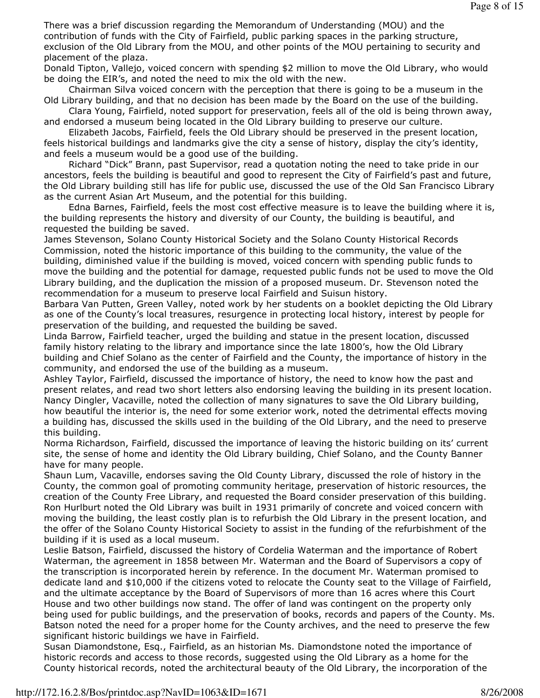There was a brief discussion regarding the Memorandum of Understanding (MOU) and the contribution of funds with the City of Fairfield, public parking spaces in the parking structure, exclusion of the Old Library from the MOU, and other points of the MOU pertaining to security and placement of the plaza.

Donald Tipton, Vallejo, voiced concern with spending \$2 million to move the Old Library, who would be doing the EIR's, and noted the need to mix the old with the new.

 Chairman Silva voiced concern with the perception that there is going to be a museum in the Old Library building, and that no decision has been made by the Board on the use of the building.

 Clara Young, Fairfield, noted support for preservation, feels all of the old is being thrown away, and endorsed a museum being located in the Old Library building to preserve our culture.

 Elizabeth Jacobs, Fairfield, feels the Old Library should be preserved in the present location, feels historical buildings and landmarks give the city a sense of history, display the city's identity, and feels a museum would be a good use of the building.

 Richard "Dick" Brann, past Supervisor, read a quotation noting the need to take pride in our ancestors, feels the building is beautiful and good to represent the City of Fairfield's past and future, the Old Library building still has life for public use, discussed the use of the Old San Francisco Library as the current Asian Art Museum, and the potential for this building.

 Edna Barnes, Fairfield, feels the most cost effective measure is to leave the building where it is, the building represents the history and diversity of our County, the building is beautiful, and requested the building be saved.

James Stevenson, Solano County Historical Society and the Solano County Historical Records Commission, noted the historic importance of this building to the community, the value of the building, diminished value if the building is moved, voiced concern with spending public funds to move the building and the potential for damage, requested public funds not be used to move the Old Library building, and the duplication the mission of a proposed museum. Dr. Stevenson noted the recommendation for a museum to preserve local Fairfield and Suisun history.

Barbara Van Putten, Green Valley, noted work by her students on a booklet depicting the Old Library as one of the County's local treasures, resurgence in protecting local history, interest by people for preservation of the building, and requested the building be saved.

Linda Barrow, Fairfield teacher, urged the building and statue in the present location, discussed family history relating to the library and importance since the late 1800's, how the Old Library building and Chief Solano as the center of Fairfield and the County, the importance of history in the community, and endorsed the use of the building as a museum.

Ashley Taylor, Fairfield, discussed the importance of history, the need to know how the past and present relates, and read two short letters also endorsing leaving the building in its present location. Nancy Dingler, Vacaville, noted the collection of many signatures to save the Old Library building, how beautiful the interior is, the need for some exterior work, noted the detrimental effects moving a building has, discussed the skills used in the building of the Old Library, and the need to preserve this building.

Norma Richardson, Fairfield, discussed the importance of leaving the historic building on its' current site, the sense of home and identity the Old Library building, Chief Solano, and the County Banner have for many people.

Shaun Lum, Vacaville, endorses saving the Old County Library, discussed the role of history in the County, the common goal of promoting community heritage, preservation of historic resources, the creation of the County Free Library, and requested the Board consider preservation of this building. Ron Hurlburt noted the Old Library was built in 1931 primarily of concrete and voiced concern with moving the building, the least costly plan is to refurbish the Old Library in the present location, and the offer of the Solano County Historical Society to assist in the funding of the refurbishment of the building if it is used as a local museum.

Leslie Batson, Fairfield, discussed the history of Cordelia Waterman and the importance of Robert Waterman, the agreement in 1858 between Mr. Waterman and the Board of Supervisors a copy of the transcription is incorporated herein by reference. In the document Mr. Waterman promised to dedicate land and \$10,000 if the citizens voted to relocate the County seat to the Village of Fairfield, and the ultimate acceptance by the Board of Supervisors of more than 16 acres where this Court House and two other buildings now stand. The offer of land was contingent on the property only being used for public buildings, and the preservation of books, records and papers of the County. Ms. Batson noted the need for a proper home for the County archives, and the need to preserve the few significant historic buildings we have in Fairfield.

Susan Diamondstone, Esq., Fairfield, as an historian Ms. Diamondstone noted the importance of historic records and access to those records, suggested using the Old Library as a home for the County historical records, noted the architectural beauty of the Old Library, the incorporation of the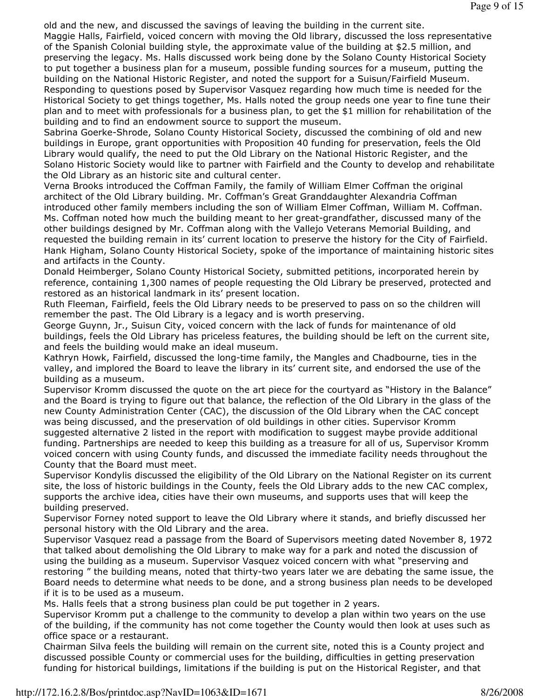old and the new, and discussed the savings of leaving the building in the current site.

Maggie Halls, Fairfield, voiced concern with moving the Old library, discussed the loss representative of the Spanish Colonial building style, the approximate value of the building at \$2.5 million, and preserving the legacy. Ms. Halls discussed work being done by the Solano County Historical Society to put together a business plan for a museum, possible funding sources for a museum, putting the building on the National Historic Register, and noted the support for a Suisun/Fairfield Museum. Responding to questions posed by Supervisor Vasquez regarding how much time is needed for the Historical Society to get things together, Ms. Halls noted the group needs one year to fine tune their plan and to meet with professionals for a business plan, to get the \$1 million for rehabilitation of the building and to find an endowment source to support the museum.

Sabrina Goerke-Shrode, Solano County Historical Society, discussed the combining of old and new buildings in Europe, grant opportunities with Proposition 40 funding for preservation, feels the Old Library would qualify, the need to put the Old Library on the National Historic Register, and the Solano Historic Society would like to partner with Fairfield and the County to develop and rehabilitate the Old Library as an historic site and cultural center.

Verna Brooks introduced the Coffman Family, the family of William Elmer Coffman the original architect of the Old Library building. Mr. Coffman's Great Granddaughter Alexandria Coffman introduced other family members including the son of William Elmer Coffman, William M. Coffman. Ms. Coffman noted how much the building meant to her great-grandfather, discussed many of the other buildings designed by Mr. Coffman along with the Vallejo Veterans Memorial Building, and requested the building remain in its' current location to preserve the history for the City of Fairfield. Hank Higham, Solano County Historical Society, spoke of the importance of maintaining historic sites and artifacts in the County.

Donald Heimberger, Solano County Historical Society, submitted petitions, incorporated herein by reference, containing 1,300 names of people requesting the Old Library be preserved, protected and restored as an historical landmark in its' present location.

Ruth Fleeman, Fairfield, feels the Old Library needs to be preserved to pass on so the children will remember the past. The Old Library is a legacy and is worth preserving.

George Guynn, Jr., Suisun City, voiced concern with the lack of funds for maintenance of old buildings, feels the Old Library has priceless features, the building should be left on the current site, and feels the building would make an ideal museum.

Kathryn Howk, Fairfield, discussed the long-time family, the Mangles and Chadbourne, ties in the valley, and implored the Board to leave the library in its' current site, and endorsed the use of the building as a museum.

Supervisor Kromm discussed the quote on the art piece for the courtyard as "History in the Balance" and the Board is trying to figure out that balance, the reflection of the Old Library in the glass of the new County Administration Center (CAC), the discussion of the Old Library when the CAC concept was being discussed, and the preservation of old buildings in other cities. Supervisor Kromm suggested alternative 2 listed in the report with modification to suggest maybe provide additional funding. Partnerships are needed to keep this building as a treasure for all of us, Supervisor Kromm voiced concern with using County funds, and discussed the immediate facility needs throughout the County that the Board must meet.

Supervisor Kondylis discussed the eligibility of the Old Library on the National Register on its current site, the loss of historic buildings in the County, feels the Old Library adds to the new CAC complex, supports the archive idea, cities have their own museums, and supports uses that will keep the building preserved.

Supervisor Forney noted support to leave the Old Library where it stands, and briefly discussed her personal history with the Old Library and the area.

Supervisor Vasquez read a passage from the Board of Supervisors meeting dated November 8, 1972 that talked about demolishing the Old Library to make way for a park and noted the discussion of using the building as a museum. Supervisor Vasquez voiced concern with what "preserving and restoring " the building means, noted that thirty-two years later we are debating the same issue, the Board needs to determine what needs to be done, and a strong business plan needs to be developed if it is to be used as a museum.

Ms. Halls feels that a strong business plan could be put together in 2 years.

Supervisor Kromm put a challenge to the community to develop a plan within two years on the use of the building, if the community has not come together the County would then look at uses such as office space or a restaurant.

Chairman Silva feels the building will remain on the current site, noted this is a County project and discussed possible County or commercial uses for the building, difficulties in getting preservation funding for historical buildings, limitations if the building is put on the Historical Register, and that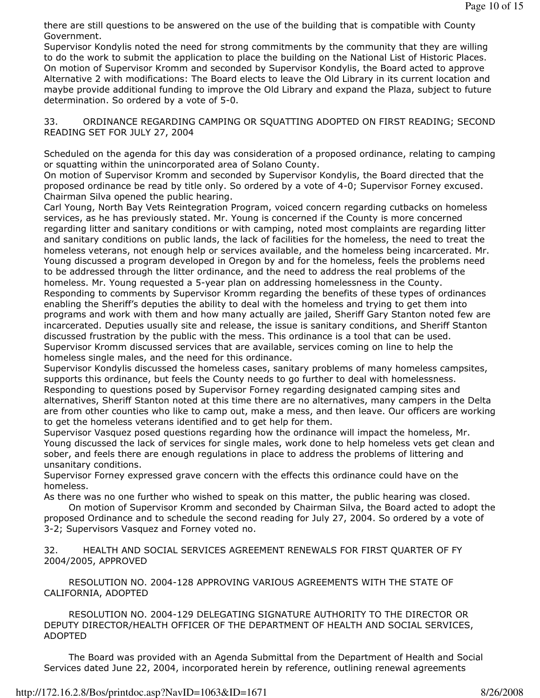there are still questions to be answered on the use of the building that is compatible with County Government.

Supervisor Kondylis noted the need for strong commitments by the community that they are willing to do the work to submit the application to place the building on the National List of Historic Places. On motion of Supervisor Kromm and seconded by Supervisor Kondylis, the Board acted to approve Alternative 2 with modifications: The Board elects to leave the Old Library in its current location and maybe provide additional funding to improve the Old Library and expand the Plaza, subject to future determination. So ordered by a vote of 5-0.

33. ORDINANCE REGARDING CAMPING OR SQUATTING ADOPTED ON FIRST READING; SECOND READING SET FOR JULY 27, 2004

Scheduled on the agenda for this day was consideration of a proposed ordinance, relating to camping or squatting within the unincorporated area of Solano County.

On motion of Supervisor Kromm and seconded by Supervisor Kondylis, the Board directed that the proposed ordinance be read by title only. So ordered by a vote of 4-0; Supervisor Forney excused. Chairman Silva opened the public hearing.

Carl Young, North Bay Vets Reintegration Program, voiced concern regarding cutbacks on homeless services, as he has previously stated. Mr. Young is concerned if the County is more concerned regarding litter and sanitary conditions or with camping, noted most complaints are regarding litter and sanitary conditions on public lands, the lack of facilities for the homeless, the need to treat the homeless veterans, not enough help or services available, and the homeless being incarcerated. Mr. Young discussed a program developed in Oregon by and for the homeless, feels the problems need to be addressed through the litter ordinance, and the need to address the real problems of the homeless. Mr. Young requested a 5-year plan on addressing homelessness in the County. Responding to comments by Supervisor Kromm regarding the benefits of these types of ordinances enabling the Sheriff's deputies the ability to deal with the homeless and trying to get them into programs and work with them and how many actually are jailed, Sheriff Gary Stanton noted few are incarcerated. Deputies usually site and release, the issue is sanitary conditions, and Sheriff Stanton discussed frustration by the public with the mess. This ordinance is a tool that can be used. Supervisor Kromm discussed services that are available, services coming on line to help the homeless single males, and the need for this ordinance.

Supervisor Kondylis discussed the homeless cases, sanitary problems of many homeless campsites, supports this ordinance, but feels the County needs to go further to deal with homelessness. Responding to questions posed by Supervisor Forney regarding designated camping sites and alternatives, Sheriff Stanton noted at this time there are no alternatives, many campers in the Delta are from other counties who like to camp out, make a mess, and then leave. Our officers are working to get the homeless veterans identified and to get help for them.

Supervisor Vasquez posed questions regarding how the ordinance will impact the homeless, Mr. Young discussed the lack of services for single males, work done to help homeless vets get clean and sober, and feels there are enough regulations in place to address the problems of littering and unsanitary conditions.

Supervisor Forney expressed grave concern with the effects this ordinance could have on the homeless.

As there was no one further who wished to speak on this matter, the public hearing was closed.

 On motion of Supervisor Kromm and seconded by Chairman Silva, the Board acted to adopt the proposed Ordinance and to schedule the second reading for July 27, 2004. So ordered by a vote of 3-2; Supervisors Vasquez and Forney voted no.

32. HEALTH AND SOCIAL SERVICES AGREEMENT RENEWALS FOR FIRST QUARTER OF FY 2004/2005, APPROVED

 RESOLUTION NO. 2004-128 APPROVING VARIOUS AGREEMENTS WITH THE STATE OF CALIFORNIA, ADOPTED

 RESOLUTION NO. 2004-129 DELEGATING SIGNATURE AUTHORITY TO THE DIRECTOR OR DEPUTY DIRECTOR/HEALTH OFFICER OF THE DEPARTMENT OF HEALTH AND SOCIAL SERVICES, ADOPTED

 The Board was provided with an Agenda Submittal from the Department of Health and Social Services dated June 22, 2004, incorporated herein by reference, outlining renewal agreements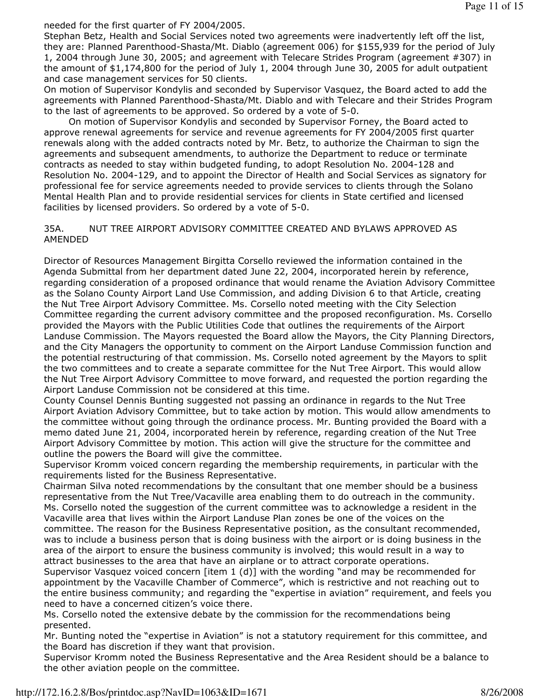needed for the first quarter of FY 2004/2005.

Stephan Betz, Health and Social Services noted two agreements were inadvertently left off the list, they are: Planned Parenthood-Shasta/Mt. Diablo (agreement 006) for \$155,939 for the period of July 1, 2004 through June 30, 2005; and agreement with Telecare Strides Program (agreement #307) in the amount of \$1,174,800 for the period of July 1, 2004 through June 30, 2005 for adult outpatient and case management services for 50 clients.

On motion of Supervisor Kondylis and seconded by Supervisor Vasquez, the Board acted to add the agreements with Planned Parenthood-Shasta/Mt. Diablo and with Telecare and their Strides Program to the last of agreements to be approved. So ordered by a vote of 5-0.

 On motion of Supervisor Kondylis and seconded by Supervisor Forney, the Board acted to approve renewal agreements for service and revenue agreements for FY 2004/2005 first quarter renewals along with the added contracts noted by Mr. Betz, to authorize the Chairman to sign the agreements and subsequent amendments, to authorize the Department to reduce or terminate contracts as needed to stay within budgeted funding, to adopt Resolution No. 2004-128 and Resolution No. 2004-129, and to appoint the Director of Health and Social Services as signatory for professional fee for service agreements needed to provide services to clients through the Solano Mental Health Plan and to provide residential services for clients in State certified and licensed facilities by licensed providers. So ordered by a vote of 5-0.

## 35A. NUT TREE AIRPORT ADVISORY COMMITTEE CREATED AND BYLAWS APPROVED AS AMENDED

Director of Resources Management Birgitta Corsello reviewed the information contained in the Agenda Submittal from her department dated June 22, 2004, incorporated herein by reference, regarding consideration of a proposed ordinance that would rename the Aviation Advisory Committee as the Solano County Airport Land Use Commission, and adding Division 6 to that Article, creating the Nut Tree Airport Advisory Committee. Ms. Corsello noted meeting with the City Selection Committee regarding the current advisory committee and the proposed reconfiguration. Ms. Corsello provided the Mayors with the Public Utilities Code that outlines the requirements of the Airport Landuse Commission. The Mayors requested the Board allow the Mayors, the City Planning Directors, and the City Managers the opportunity to comment on the Airport Landuse Commission function and the potential restructuring of that commission. Ms. Corsello noted agreement by the Mayors to split the two committees and to create a separate committee for the Nut Tree Airport. This would allow the Nut Tree Airport Advisory Committee to move forward, and requested the portion regarding the Airport Landuse Commission not be considered at this time.

County Counsel Dennis Bunting suggested not passing an ordinance in regards to the Nut Tree Airport Aviation Advisory Committee, but to take action by motion. This would allow amendments to the committee without going through the ordinance process. Mr. Bunting provided the Board with a memo dated June 21, 2004, incorporated herein by reference, regarding creation of the Nut Tree Airport Advisory Committee by motion. This action will give the structure for the committee and outline the powers the Board will give the committee.

Supervisor Kromm voiced concern regarding the membership requirements, in particular with the requirements listed for the Business Representative.

Chairman Silva noted recommendations by the consultant that one member should be a business representative from the Nut Tree/Vacaville area enabling them to do outreach in the community. Ms. Corsello noted the suggestion of the current committee was to acknowledge a resident in the Vacaville area that lives within the Airport Landuse Plan zones be one of the voices on the committee. The reason for the Business Representative position, as the consultant recommended, was to include a business person that is doing business with the airport or is doing business in the area of the airport to ensure the business community is involved; this would result in a way to attract businesses to the area that have an airplane or to attract corporate operations.

Supervisor Vasquez voiced concern [item 1 (d)] with the wording "and may be recommended for appointment by the Vacaville Chamber of Commerce", which is restrictive and not reaching out to the entire business community; and regarding the "expertise in aviation" requirement, and feels you need to have a concerned citizen's voice there.

Ms. Corsello noted the extensive debate by the commission for the recommendations being presented.

Mr. Bunting noted the "expertise in Aviation" is not a statutory requirement for this committee, and the Board has discretion if they want that provision.

Supervisor Kromm noted the Business Representative and the Area Resident should be a balance to the other aviation people on the committee.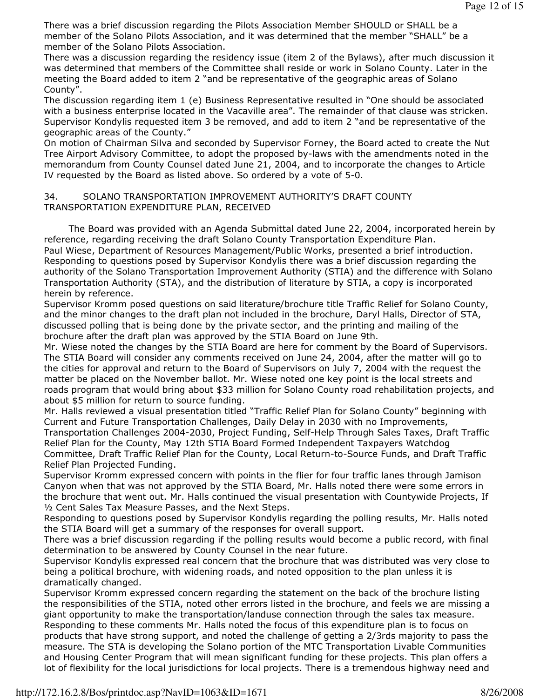There was a brief discussion regarding the Pilots Association Member SHOULD or SHALL be a member of the Solano Pilots Association, and it was determined that the member "SHALL" be a member of the Solano Pilots Association.

There was a discussion regarding the residency issue (item 2 of the Bylaws), after much discussion it was determined that members of the Committee shall reside or work in Solano County. Later in the meeting the Board added to item 2 "and be representative of the geographic areas of Solano County".

The discussion regarding item 1 (e) Business Representative resulted in "One should be associated with a business enterprise located in the Vacaville area". The remainder of that clause was stricken. Supervisor Kondylis requested item 3 be removed, and add to item 2 "and be representative of the geographic areas of the County."

On motion of Chairman Silva and seconded by Supervisor Forney, the Board acted to create the Nut Tree Airport Advisory Committee, to adopt the proposed by-laws with the amendments noted in the memorandum from County Counsel dated June 21, 2004, and to incorporate the changes to Article IV requested by the Board as listed above. So ordered by a vote of 5-0.

## 34. SOLANO TRANSPORTATION IMPROVEMENT AUTHORITY'S DRAFT COUNTY TRANSPORTATION EXPENDITURE PLAN, RECEIVED

 The Board was provided with an Agenda Submittal dated June 22, 2004, incorporated herein by reference, regarding receiving the draft Solano County Transportation Expenditure Plan. Paul Wiese, Department of Resources Management/Public Works, presented a brief introduction. Responding to questions posed by Supervisor Kondylis there was a brief discussion regarding the authority of the Solano Transportation Improvement Authority (STIA) and the difference with Solano Transportation Authority (STA), and the distribution of literature by STIA, a copy is incorporated herein by reference.

Supervisor Kromm posed questions on said literature/brochure title Traffic Relief for Solano County, and the minor changes to the draft plan not included in the brochure, Daryl Halls, Director of STA, discussed polling that is being done by the private sector, and the printing and mailing of the brochure after the draft plan was approved by the STIA Board on June 9th.

Mr. Wiese noted the changes by the STIA Board are here for comment by the Board of Supervisors. The STIA Board will consider any comments received on June 24, 2004, after the matter will go to the cities for approval and return to the Board of Supervisors on July 7, 2004 with the request the matter be placed on the November ballot. Mr. Wiese noted one key point is the local streets and roads program that would bring about \$33 million for Solano County road rehabilitation projects, and about \$5 million for return to source funding.

Mr. Halls reviewed a visual presentation titled "Traffic Relief Plan for Solano County" beginning with Current and Future Transportation Challenges, Daily Delay in 2030 with no Improvements, Transportation Challenges 2004-2030, Project Funding, Self-Help Through Sales Taxes, Draft Traffic Relief Plan for the County, May 12th STIA Board Formed Independent Taxpayers Watchdog Committee, Draft Traffic Relief Plan for the County, Local Return-to-Source Funds, and Draft Traffic Relief Plan Projected Funding.

Supervisor Kromm expressed concern with points in the flier for four traffic lanes through Jamison Canyon when that was not approved by the STIA Board, Mr. Halls noted there were some errors in the brochure that went out. Mr. Halls continued the visual presentation with Countywide Projects, If ½ Cent Sales Tax Measure Passes, and the Next Steps.

Responding to questions posed by Supervisor Kondylis regarding the polling results, Mr. Halls noted the STIA Board will get a summary of the responses for overall support.

There was a brief discussion regarding if the polling results would become a public record, with final determination to be answered by County Counsel in the near future.

Supervisor Kondylis expressed real concern that the brochure that was distributed was very close to being a political brochure, with widening roads, and noted opposition to the plan unless it is dramatically changed.

Supervisor Kromm expressed concern regarding the statement on the back of the brochure listing the responsibilities of the STIA, noted other errors listed in the brochure, and feels we are missing a giant opportunity to make the transportation/landuse connection through the sales tax measure. Responding to these comments Mr. Halls noted the focus of this expenditure plan is to focus on products that have strong support, and noted the challenge of getting a 2/3rds majority to pass the measure. The STA is developing the Solano portion of the MTC Transportation Livable Communities and Housing Center Program that will mean significant funding for these projects. This plan offers a lot of flexibility for the local jurisdictions for local projects. There is a tremendous highway need and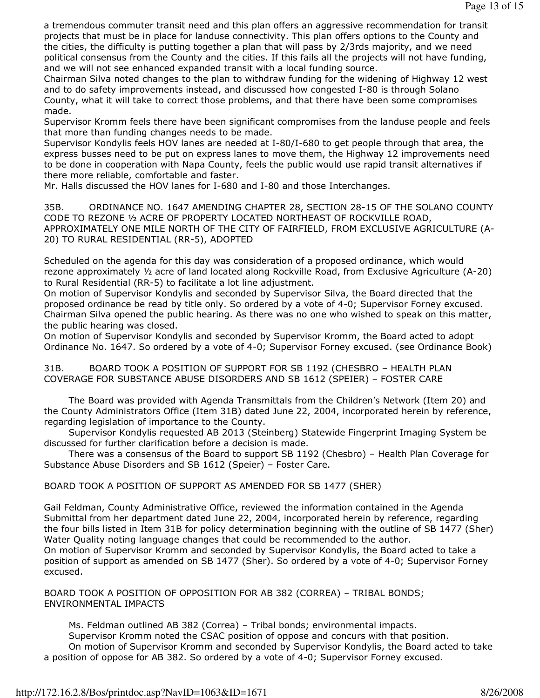a tremendous commuter transit need and this plan offers an aggressive recommendation for transit projects that must be in place for landuse connectivity. This plan offers options to the County and the cities, the difficulty is putting together a plan that will pass by 2/3rds majority, and we need political consensus from the County and the cities. If this fails all the projects will not have funding, and we will not see enhanced expanded transit with a local funding source.

Chairman Silva noted changes to the plan to withdraw funding for the widening of Highway 12 west and to do safety improvements instead, and discussed how congested I-80 is through Solano County, what it will take to correct those problems, and that there have been some compromises made.

Supervisor Kromm feels there have been significant compromises from the landuse people and feels that more than funding changes needs to be made.

Supervisor Kondylis feels HOV lanes are needed at I-80/I-680 to get people through that area, the express busses need to be put on express lanes to move them, the Highway 12 improvements need to be done in cooperation with Napa County, feels the public would use rapid transit alternatives if there more reliable, comfortable and faster.

Mr. Halls discussed the HOV lanes for I-680 and I-80 and those Interchanges.

35B. ORDINANCE NO. 1647 AMENDING CHAPTER 28, SECTION 28-15 OF THE SOLANO COUNTY CODE TO REZONE ½ ACRE OF PROPERTY LOCATED NORTHEAST OF ROCKVILLE ROAD, APPROXIMATELY ONE MILE NORTH OF THE CITY OF FAIRFIELD, FROM EXCLUSIVE AGRICULTURE (A-20) TO RURAL RESIDENTIAL (RR-5), ADOPTED

Scheduled on the agenda for this day was consideration of a proposed ordinance, which would rezone approximately ½ acre of land located along Rockville Road, from Exclusive Agriculture (A-20) to Rural Residential (RR-5) to facilitate a lot line adjustment.

On motion of Supervisor Kondylis and seconded by Supervisor Silva, the Board directed that the proposed ordinance be read by title only. So ordered by a vote of 4-0; Supervisor Forney excused. Chairman Silva opened the public hearing. As there was no one who wished to speak on this matter, the public hearing was closed.

On motion of Supervisor Kondylis and seconded by Supervisor Kromm, the Board acted to adopt Ordinance No. 1647. So ordered by a vote of 4-0; Supervisor Forney excused. (see Ordinance Book)

31B. BOARD TOOK A POSITION OF SUPPORT FOR SB 1192 (CHESBRO – HEALTH PLAN COVERAGE FOR SUBSTANCE ABUSE DISORDERS AND SB 1612 (SPEIER) – FOSTER CARE

 The Board was provided with Agenda Transmittals from the Children's Network (Item 20) and the County Administrators Office (Item 31B) dated June 22, 2004, incorporated herein by reference, regarding legislation of importance to the County.

 Supervisor Kondylis requested AB 2013 (Steinberg) Statewide Fingerprint Imaging System be discussed for further clarification before a decision is made.

 There was a consensus of the Board to support SB 1192 (Chesbro) – Health Plan Coverage for Substance Abuse Disorders and SB 1612 (Speier) – Foster Care.

BOARD TOOK A POSITION OF SUPPORT AS AMENDED FOR SB 1477 (SHER)

Gail Feldman, County Administrative Office, reviewed the information contained in the Agenda Submittal from her department dated June 22, 2004, incorporated herein by reference, regarding the four bills listed in Item 31B for policy determination beginning with the outline of SB 1477 (Sher) Water Quality noting language changes that could be recommended to the author. On motion of Supervisor Kromm and seconded by Supervisor Kondylis, the Board acted to take a position of support as amended on SB 1477 (Sher). So ordered by a vote of 4-0; Supervisor Forney excused.

BOARD TOOK A POSITION OF OPPOSITION FOR AB 382 (CORREA) – TRIBAL BONDS; ENVIRONMENTAL IMPACTS

 Ms. Feldman outlined AB 382 (Correa) – Tribal bonds; environmental impacts. Supervisor Kromm noted the CSAC position of oppose and concurs with that position. On motion of Supervisor Kromm and seconded by Supervisor Kondylis, the Board acted to take a position of oppose for AB 382. So ordered by a vote of 4-0; Supervisor Forney excused.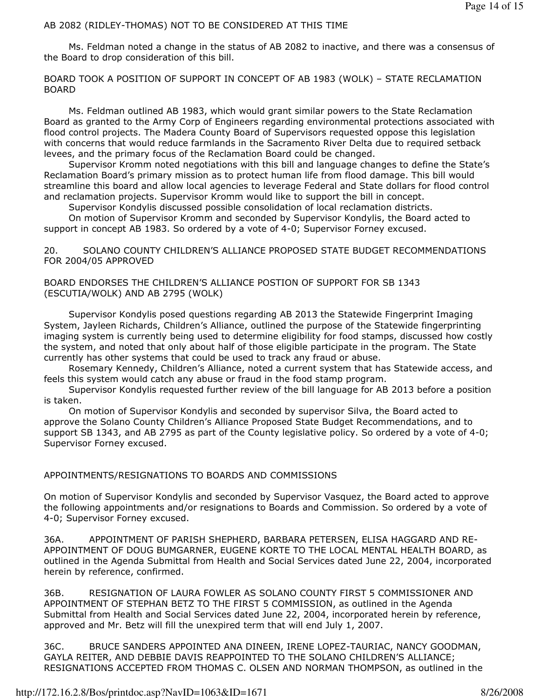# AB 2082 (RIDLEY-THOMAS) NOT TO BE CONSIDERED AT THIS TIME

 Ms. Feldman noted a change in the status of AB 2082 to inactive, and there was a consensus of the Board to drop consideration of this bill.

BOARD TOOK A POSITION OF SUPPORT IN CONCEPT OF AB 1983 (WOLK) – STATE RECLAMATION BOARD

 Ms. Feldman outlined AB 1983, which would grant similar powers to the State Reclamation Board as granted to the Army Corp of Engineers regarding environmental protections associated with flood control projects. The Madera County Board of Supervisors requested oppose this legislation with concerns that would reduce farmlands in the Sacramento River Delta due to required setback levees, and the primary focus of the Reclamation Board could be changed.

 Supervisor Kromm noted negotiations with this bill and language changes to define the State's Reclamation Board's primary mission as to protect human life from flood damage. This bill would streamline this board and allow local agencies to leverage Federal and State dollars for flood control and reclamation projects. Supervisor Kromm would like to support the bill in concept.

Supervisor Kondylis discussed possible consolidation of local reclamation districts.

 On motion of Supervisor Kromm and seconded by Supervisor Kondylis, the Board acted to support in concept AB 1983. So ordered by a vote of 4-0; Supervisor Forney excused.

## 20. SOLANO COUNTY CHILDREN'S ALLIANCE PROPOSED STATE BUDGET RECOMMENDATIONS FOR 2004/05 APPROVED

# BOARD ENDORSES THE CHILDREN'S ALLIANCE POSTION OF SUPPORT FOR SB 1343 (ESCUTIA/WOLK) AND AB 2795 (WOLK)

 Supervisor Kondylis posed questions regarding AB 2013 the Statewide Fingerprint Imaging System, Jayleen Richards, Children's Alliance, outlined the purpose of the Statewide fingerprinting imaging system is currently being used to determine eligibility for food stamps, discussed how costly the system, and noted that only about half of those eligible participate in the program. The State currently has other systems that could be used to track any fraud or abuse.

 Rosemary Kennedy, Children's Alliance, noted a current system that has Statewide access, and feels this system would catch any abuse or fraud in the food stamp program.

 Supervisor Kondylis requested further review of the bill language for AB 2013 before a position is taken.

 On motion of Supervisor Kondylis and seconded by supervisor Silva, the Board acted to approve the Solano County Children's Alliance Proposed State Budget Recommendations, and to support SB 1343, and AB 2795 as part of the County legislative policy. So ordered by a vote of 4-0; Supervisor Forney excused.

# APPOINTMENTS/RESIGNATIONS TO BOARDS AND COMMISSIONS

On motion of Supervisor Kondylis and seconded by Supervisor Vasquez, the Board acted to approve the following appointments and/or resignations to Boards and Commission. So ordered by a vote of 4-0; Supervisor Forney excused.

36A. APPOINTMENT OF PARISH SHEPHERD, BARBARA PETERSEN, ELISA HAGGARD AND RE-APPOINTMENT OF DOUG BUMGARNER, EUGENE KORTE TO THE LOCAL MENTAL HEALTH BOARD, as outlined in the Agenda Submittal from Health and Social Services dated June 22, 2004, incorporated herein by reference, confirmed.

36B. RESIGNATION OF LAURA FOWLER AS SOLANO COUNTY FIRST 5 COMMISSIONER AND APPOINTMENT OF STEPHAN BETZ TO THE FIRST 5 COMMISSION, as outlined in the Agenda Submittal from Health and Social Services dated June 22, 2004, incorporated herein by reference, approved and Mr. Betz will fill the unexpired term that will end July 1, 2007.

36C. BRUCE SANDERS APPOINTED ANA DINEEN, IRENE LOPEZ-TAURIAC, NANCY GOODMAN, GAYLA REITER, AND DEBBIE DAVIS REAPPOINTED TO THE SOLANO CHILDREN'S ALLIANCE; RESIGNATIONS ACCEPTED FROM THOMAS C. OLSEN AND NORMAN THOMPSON, as outlined in the